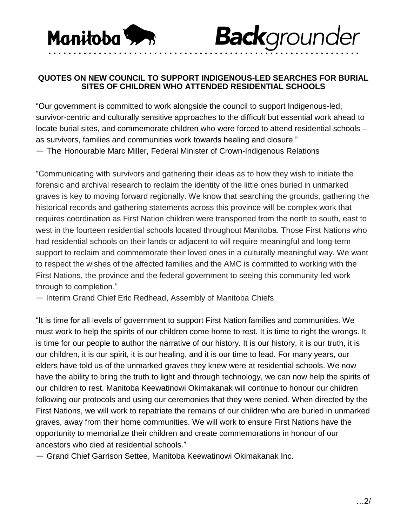

## **QUOTES ON NEW COUNCIL TO SUPPORT INDIGENOUS-LED SEARCHES FOR BURIAL SITES OF CHILDREN WHO ATTENDED RESIDENTIAL SCHOOLS**

**Back**grounder

"Our government is committed to work alongside the council to support Indigenous-led, survivor-centric and culturally sensitive approaches to the difficult but essential work ahead to locate burial sites, and commemorate children who were forced to attend residential schools – as survivors, families and communities work towards healing and closure." — The Honourable Marc Miller, Federal Minister of Crown-Indigenous Relations

"Communicating with survivors and gathering their ideas as to how they wish to initiate the forensic and archival research to reclaim the identity of the little ones buried in unmarked graves is key to moving forward regionally. We know that searching the grounds, gathering the historical records and gathering statements across this province will be complex work that requires coordination as First Nation children were transported from the north to south, east to west in the fourteen residential schools located throughout Manitoba. Those First Nations who had residential schools on their lands or adjacent to will require meaningful and long-term support to reclaim and commemorate their loved ones in a culturally meaningful way. We want to respect the wishes of the affected families and the AMC is committed to working with the First Nations, the province and the federal government to seeing this community-led work through to completion."

— Interim Grand Chief Eric Redhead, Assembly of Manitoba Chiefs

"It is time for all levels of government to support First Nation families and communities. We must work to help the spirits of our children come home to rest. It is time to right the wrongs. It is time for our people to author the narrative of our history. It is our history, it is our truth, it is our children, it is our spirit, it is our healing, and it is our time to lead. For many years, our elders have told us of the unmarked graves they knew were at residential schools. We now have the ability to bring the truth to light and through technology, we can now help the spirits of our children to rest. Manitoba Keewatinowi Okimakanak will continue to honour our children following our protocols and using our ceremonies that they were denied. When directed by the First Nations, we will work to repatriate the remains of our children who are buried in unmarked graves, away from their home communities. We will work to ensure First Nations have the opportunity to memorialize their children and create commemorations in honour of our ancestors who died at residential schools."

— Grand Chief Garrison Settee, Manitoba Keewatinowi Okimakanak Inc.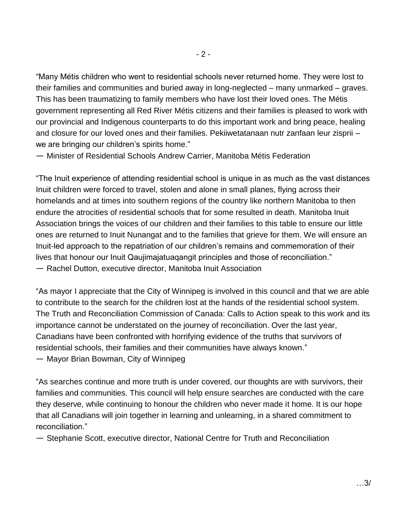"Many Métis children who went to residential schools never returned home. They were lost to their families and communities and buried away in long-neglected – many unmarked – graves. This has been traumatizing to family members who have lost their loved ones. The Métis government representing all Red River Métis citizens and their families is pleased to work with our provincial and Indigenous counterparts to do this important work and bring peace, healing and closure for our loved ones and their families. Pekiiwetatanaan nutr zanfaan leur zisprii – we are bringing our children's spirits home."

— Minister of Residential Schools Andrew Carrier, Manitoba Métis Federation

"The Inuit experience of attending residential school is unique in as much as the vast distances Inuit children were forced to travel, stolen and alone in small planes, flying across their homelands and at times into southern regions of the country like northern Manitoba to then endure the atrocities of residential schools that for some resulted in death. Manitoba Inuit Association brings the voices of our children and their families to this table to ensure our little ones are returned to Inuit Nunangat and to the families that grieve for them. We will ensure an Inuit-led approach to the repatriation of our children's remains and commemoration of their lives that honour our Inuit Qaujimajatuaqangit principles and those of reconciliation." — Rachel Dutton, executive director, Manitoba Inuit Association

"As mayor I appreciate that the City of Winnipeg is involved in this council and that we are able to contribute to the search for the children lost at the hands of the residential school system. The Truth and Reconciliation Commission of Canada: Calls to Action speak to this work and its importance cannot be understated on the journey of reconciliation. Over the last year, Canadians have been confronted with horrifying evidence of the truths that survivors of residential schools, their families and their communities have always known." — Mayor Brian Bowman, City of Winnipeg

"As searches continue and more truth is under covered, our thoughts are with survivors, their families and communities. This council will help ensure searches are conducted with the care they deserve, while continuing to honour the children who never made it home. It is our hope that all Canadians will join together in learning and unlearning, in a shared commitment to reconciliation."

— Stephanie Scott, executive director, National Centre for Truth and Reconciliation